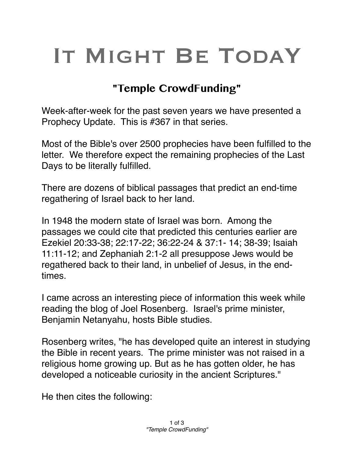## IT MIGHT BE TODAY

## **"Temple CrowdFunding"**

Week-after-week for the past seven years we have presented a Prophecy Update. This is #367 in that series.

Most of the Bible's over 2500 prophecies have been fulfilled to the letter. We therefore expect the remaining prophecies of the Last Days to be literally fulfilled.

There are dozens of biblical passages that predict an end-time regathering of Israel back to her land.

In 1948 the modern state of Israel was born. Among the passages we could cite that predicted this centuries earlier are Ezekiel 20:33-38; 22:17-22; 36:22-24 & 37:1- 14; 38-39; Isaiah 11:11-12; and Zephaniah 2:1-2 all presuppose Jews would be regathered back to their land, in unbelief of Jesus, in the endtimes.

I came across an interesting piece of information this week while reading the blog of Joel Rosenberg. Israel's prime minister, Benjamin Netanyahu, hosts Bible studies.

Rosenberg writes, "he has developed quite an interest in studying the Bible in recent years. The prime minister was not raised in a religious home growing up. But as he has gotten older, he has developed a noticeable curiosity in the ancient Scriptures."

He then cites the following: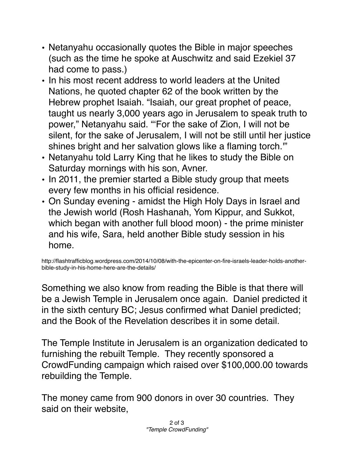- Netanyahu occasionally quotes the Bible in major speeches (such as the time he spoke at Auschwitz and said Ezekiel 37 had come to pass.)
- In his most recent address to world leaders at the United Nations, he quoted chapter 62 of the book written by the Hebrew prophet Isaiah. "Isaiah, our great prophet of peace, taught us nearly 3,000 years ago in Jerusalem to speak truth to power," Netanyahu said. "'For the sake of Zion, I will not be silent, for the sake of Jerusalem, I will not be still until her justice shines bright and her salvation glows like a flaming torch.'"
- Netanyahu told Larry King that he likes to study the Bible on Saturday mornings with his son, Avner.
- In 2011, the premier started a Bible study group that meets every few months in his official residence.
- On Sunday evening amidst the High Holy Days in Israel and the Jewish world (Rosh Hashanah, Yom Kippur, and Sukkot, which began with another full blood moon) - the prime minister and his wife, Sara, held another Bible study session in his home.

http://flashtrafficblog.wordpress.com/2014/10/08/with-the-epicenter-on-fire-israels-leader-holds-anotherbible-study-in-his-home-here-are-the-details/

Something we also know from reading the Bible is that there will be a Jewish Temple in Jerusalem once again. Daniel predicted it in the sixth century BC; Jesus confirmed what Daniel predicted; and the Book of the Revelation describes it in some detail.

The Temple Institute in Jerusalem is an organization dedicated to furnishing the rebuilt Temple. They recently sponsored a CrowdFunding campaign which raised over \$100,000.00 towards rebuilding the Temple.

The money came from 900 donors in over 30 countries. They said on their website,